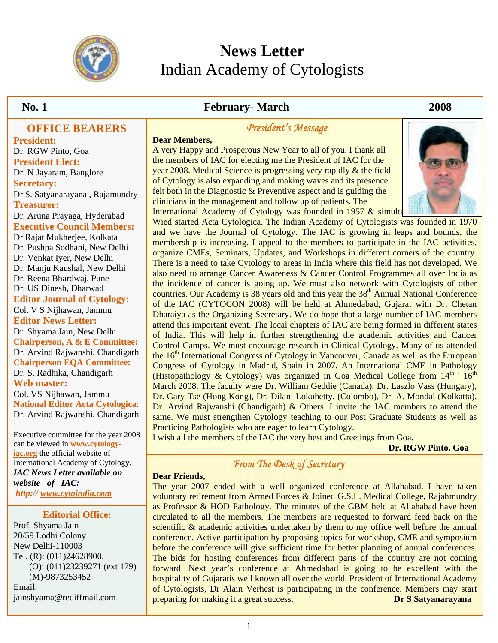

# **News Letter**  Indian Academy of Cytologists

#### **OFFICE BEARERS**

**President:** Dr. RGW Pinto, Goa **President Elect:**  Dr. N Jayaram, Banglore **Secretary:**  Dr S. Satyanarayana , Rajamundry **Treasurer:**  Dr. Aruna Prayaga, Hyderabad **Executive Council Members:**  Dr Rajat Mukherjee, Kolkata Dr. Pushpa Sodhani, New Delhi Dr. Venkat Iyer, New Delhi Dr. Manju Kaushal, New Delhi Dr. Reena Bhardwaj, Pune Dr. US Dinesh, Dharwad **Editor Journal of Cytology:**  Col. V S Nijhawan, Jammu **Editor News Letter:**  Dr. Shyama Jain, New Delhi **Chairperson, A & E Committee:**  Dr. Arvind Rajwanshi, Chandigarh **Chairperson EQA Committee:**  Dr. S. Radhika, Chandigarh **Web master:**  Col. VS Nijhawan, Jammu **National Editor Acta Cytologica**: Dr. Arvind Rajwanshi, Chandigarh

Executive committee for the year 2008 can be viewed in **www.cytologyiac.org** the official website of International Academy of Cytology. *IAC News Letter available on website of IAC: http:// www.cytoindia.com*

#### **Editorial Office:**

Prof. Shyama Jain 20/59 Lodhi Colony New Delhi-110003 Tel. (R): (011)24628900, (O): (011)23239271 (ext 179) (M)-9873253452 Email: jainshyama@rediffmail.com

## **No. 1 February- March 2008**

## *President's Message*

**Dear Members,**  A very Happy and Prosperous New Year to all of you. I thank all the members of IAC for electing me the President of IAC for the year 2008. Medical Science is progressing very rapidly & the field of Cytology is also expanding and making waves and its presence felt both in the Diagnostic & Preventive aspect and is guiding the clinicians in the management and follow up of patients. The International Academy of Cytology was founded in 1957  $&$  simulta



Wied started Acta Cytologica. The Indian Academy of Cytologists was founded in 1970 and we have the Journal of Cytology. The IAC is growing in leaps and bounds, the membership is increasing. I appeal to the members to participate in the IAC activities, organize CMEs, Seminars, Updates, and Workshops in different corners of the country. There is a need to take Cytology to areas in India where this field has not developed. We also need to arrange Cancer Awareness & Cancer Control Programmes all over India as the incidence of cancer is going up. We must also network with Cytologists of other countries. Our Academy is  $38$  years old and this year the  $38<sup>th</sup>$  Annual National Conference of the IAC (CYTOCON 2008) will be held at Ahmedabad, Gujarat with Dr. Chetan Dharaiya as the Organizing Secretary. We do hope that a large number of IAC members attend this important event. The local chapters of IAC are being formed in different states of India. This will help in further strengthening the academic activities and Cancer Control Camps. We must encourage research in Clinical Cytology. Many of us attended the 16<sup>th</sup> International Congress of Cytology in Vancouver, Canada as well as the European Congress of Cytology in Madrid, Spain in 2007. An International CME in Pathology (Histopathology & Cytology) was organized in Goa Medical College from  $14<sup>th</sup>$  16<sup>th</sup> March 2008. The faculty were Dr. William Geddie (Canada), Dr. Laszlo Vass (Hungary), Dr. Gary Tse (Hong Kong), Dr. Dilani Lokuhetty, (Colombo), Dr. A. Mondal (Kolkatta), Dr. Arvind Rajwanshi (Chandigarh) & Others. I invite the IAC members to attend the same. We must strengthen Cytology teaching to our Post Graduate Students as well as Practicing Pathologists who are eager to learn Cytology.

I wish all the members of the IAC the very best and Greetings from Goa.

 **Dr. RGW Pinto, Goa**

# *From The Desk of Secretary*

#### **Dear Friends,**

The year 2007 ended with a well organized conference at Allahabad. I have taken voluntary retirement from Armed Forces & Joined G.S.L. Medical College, Rajahmundry as Professor & HOD Pathology. The minutes of the GBM held at Allahabad have been circulated to all the members. The members are requested to forward feed back on the scientific & academic activities undertaken by them to my office well before the annual conference. Active participation by proposing topics for workshop, CME and symposium before the conference will give sufficient time for better planning of annual conferences. The bids for hosting conferences from different parts of the country are not coming forward. Next year's conference at Ahmedabad is going to be excellent with the hospitality of Gujaratis well known all over the world. President of International Academy of Cytologists, Dr Alain Verhest is participating in the conference. Members may start preparing for making it a great success. **Dr S Satyanarayana**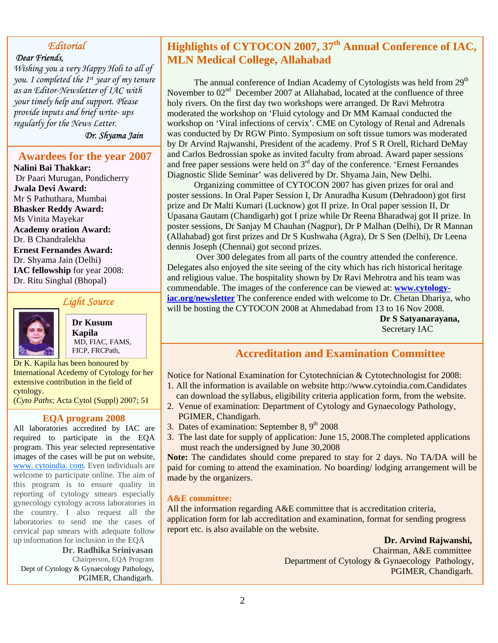## *Editorial*

#### *Dear Friends,*

*Wishing you a very Happy Holi to all of you. I completed the 1st year of my tenure as an Editor-Newsletter of IAC with your timely help and support. Please provide inputs and brief write- ups regularly for the News Letter.*

*Dr. Shyama Jain*

## **Awardees for the year 2007**

**Nalini Bai Thakkar:** Dr Paari Murugan, Pondicherry **Jwala Devi Award:** Mr S Pathuthara, Mumbai **Bhasker Reddy Award:**  Ms Vinita Mayekar **Academy oration Award:**  Dr. B Chandralekha **Ernest Fernandes Award:** Dr. Shyama Jain (Delhi) **IAC fellowship** for year 2008: Dr. Ritu Singhal (Bhopal)

## *Light Source*



**Dr Kusum Kapila**  MD, FIAC, FAMS,

Dr K. Kapila has been honoured by International Acedemy of Cytology for her extensive contribution in the field of cytology.

(*Cyto Paths*; Acta Cytol (Suppl) 2007; 51

#### **EQA program 2008**

All laboratories accredited by IAC are required to participate in the EQA program. This year selected representative images of the cases will be put on website, www. cytoindia. com. Even individuals are welcome to participate online. The aim of this program is to ensure quality in reporting of cytology smears especially gynecology cytology across laboratories in the country. I also request all the laboratories to send me the cases of cervical pap smears with adequate follow up information for inclusion in the EQA

 **Dr. Radhika Srinivasan** Chairperson, EQA Program Dept of Cytology & Gynaecology Pathology, PGIMER, Chandigarh.

# **Highlights of CYTOCON 2007, 37th Annual Conference of IAC, MLN Medical College, Allahabad**

The annual conference of Indian Academy of Cytologists was held from  $29<sup>th</sup>$ November to 02<sup>nd</sup> December 2007 at Allahabad, located at the confluence of three holy rivers. On the first day two workshops were arranged. Dr Ravi Mehrotra moderated the workshop on 'Fluid cytology and Dr MM Kamaal conducted the workshop on 'Viral infections of cervix'. CME on Cytology of Renal and Adrenals was conducted by Dr RGW Pinto. Symposium on soft tissue tumors was moderated by Dr Arvind Rajwanshi, President of the academy. Prof S R Orell, Richard DeMay and Carlos Bedrossian spoke as invited faculty from abroad. Award paper sessions and free paper sessions were held on  $3<sup>rd</sup>$  day of the conference. 'Ernest Fernandes' Diagnostic Slide Seminar' was delivered by Dr. Shyama Jain, New Delhi.

 Organizing committee of CYTOCON 2007 has given prizes for oral and poster sessions. In Oral Paper Session I, Dr Anuradha Kusum (Dehradoon) got first prize and Dr Malti Kumari (Lucknow) got II prize. In Oral paper session II, Dr Upasana Gautam (Chandigarh) got I prize while Dr Reena Bharadwaj got II prize. In poster sessions, Dr Sanjay M Chauhan (Nagpur), Dr P Malhan (Delhi), Dr R Mannan (Allahabad) got first prizes and Dr S Kushwaha (Agra), Dr S Sen (Delhi), Dr Leena dennis Joseph (Chennai) got second prizes.

 Over 300 delegates from all parts of the country attended the conference. Delegates also enjoyed the site seeing of the city which has rich historical heritage and religious value. The hospitality shown by Dr Ravi Mehrotra and his team was commendable. The images of the conference can be viewed at: **www.cytologyiac.org/newsletter** The conference ended with welcome to Dr. Chetan Dhariya, who will be hosting the CYTOCON 2008 at Ahmedabad from 13 to 16 Nov 2008.

> **Dr S Satyanarayana,** Secretary IAC

# FICP, FRCPath, **Accreditation and Examination Committee**

Notice for National Examination for Cytotechnician & Cytotechnologist for 2008:

- 1. All the information is available on website http://www.cytoindia.com.Candidates can download the syllabus, eligibility criteria application form, from the website.
- 2. Venue of examination: Department of Cytology and Gynaecology Pathology, PGIMER, Chandigarh.
- 3. Dates of examination: September 8,  $9<sup>th</sup>$  2008
- 3. The last date for supply of application: June 15, 2008.The completed applications must reach the undersigned by June 30,2008

**Note:** The candidates should come prepared to stay for 2 days. No TA/DA will be paid for coming to attend the examination. No boarding/ lodging arrangement will be made by the organizers.

#### **A&E committee:**

All the information regarding A&E committee that is accreditation criteria, application form for lab accreditation and examination, format for sending progress report etc. is also available on the website.

 **Dr. Arvind Rajwanshi,** 

Chairman, A&E committee Department of Cytology & Gynaecology Pathology, PGIMER, Chandigarh.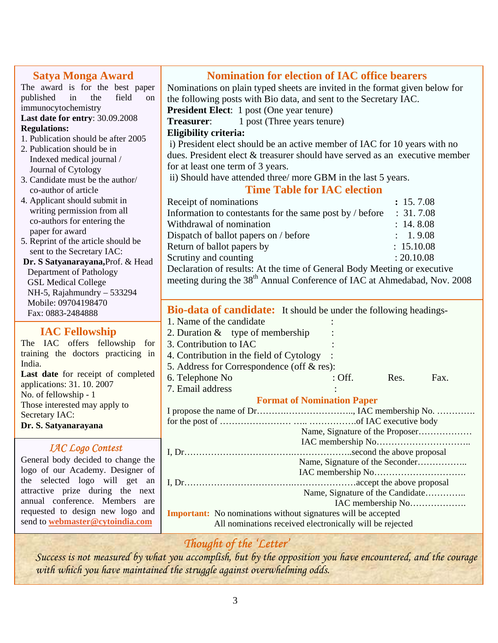| <b>Satya Monga Award</b><br>The award is for the best paper<br>in<br>published<br>the<br>field<br>on<br>immunocytochemistry<br>Last date for entry: 30.09.2008<br><b>Regulations:</b><br>1. Publication should be after 2005<br>2. Publication should be in<br>Indexed medical journal /<br>Journal of Cytology<br>3. Candidate must be the author/<br>co-author of article<br>4. Applicant should submit in<br>writing permission from all<br>co-authors for entering the<br>paper for award | <b>Nomination for election of IAC office bearers</b><br>Nominations on plain typed sheets are invited in the format given below for<br>the following posts with Bio data, and sent to the Secretary IAC.<br><b>President Elect:</b> 1 post (One year tenure)<br>1 post (Three years tenure)<br>Treasurer:<br><b>Eligibility criteria:</b><br>i) President elect should be an active member of IAC for 10 years with no<br>dues. President elect & treasurer should have served as an executive member<br>for at least one term of 3 years.<br>ii) Should have attended three/more GBM in the last 5 years.<br><b>Time Table for IAC election</b><br>Receipt of nominations<br>Information to contestants for the same post by / before<br>Withdrawal of nomination | : 15.7.08<br>: 31.7.08<br>: 14.8.08 |  |  |
|-----------------------------------------------------------------------------------------------------------------------------------------------------------------------------------------------------------------------------------------------------------------------------------------------------------------------------------------------------------------------------------------------------------------------------------------------------------------------------------------------|--------------------------------------------------------------------------------------------------------------------------------------------------------------------------------------------------------------------------------------------------------------------------------------------------------------------------------------------------------------------------------------------------------------------------------------------------------------------------------------------------------------------------------------------------------------------------------------------------------------------------------------------------------------------------------------------------------------------------------------------------------------------|-------------------------------------|--|--|
| 5. Reprint of the article should be<br>sent to the Secretary IAC:<br>Dr. S Satyanarayana, Prof. & Head<br>Department of Pathology<br><b>GSL Medical College</b><br>NH-5, Rajahmundry - 533294<br>Mobile: 09704198470                                                                                                                                                                                                                                                                          | Dispatch of ballot papers on / before<br>: 1.9.08<br>: 15.10.08<br>Return of ballot papers by<br>Scrutiny and counting<br>: 20.10.08<br>Declaration of results: At the time of General Body Meeting or executive<br>meeting during the 38 <sup>th</sup> Annual Conference of IAC at Ahmedabad, Nov. 2008                                                                                                                                                                                                                                                                                                                                                                                                                                                           |                                     |  |  |
| Fax: 0883-2484888<br><b>IAC Fellowship</b><br>The IAC offers fellowship<br>for<br>training the doctors practicing in<br>India.<br>Last date for receipt of completed<br>applications: 31. 10. 2007<br>No. of fellowship - 1<br>Those interested may apply to<br>Secretary IAC:<br>Dr. S. Satyanarayana                                                                                                                                                                                        | <b>Bio-data of candidate:</b> It should be under the following headings-<br>1. Name of the candidate<br>2. Duration $&$ type of membership<br>3. Contribution to IAC<br>4. Contribution in the field of Cytology<br>5. Address for Correspondence (off & res):<br>6. Telephone No<br>: Off.<br>7. Email address<br><b>Format of Nomination Paper</b><br>Name, Signature of the Proposer                                                                                                                                                                                                                                                                                                                                                                            | Res.<br>Fax.                        |  |  |
| <b>IAC Logo Contest</b><br>General body decided to change the<br>logo of our Academy. Designer of<br>the selected logo will get an<br>attractive prize during the next<br>annual conference. Members are<br>requested to design new logo and<br>send to <b>webmaster@cytoindia.com</b>                                                                                                                                                                                                        | Name, Signature of the Seconder<br>Name, Signature of the Candidate<br><b>Important:</b> No nominations without signatures will be accepted<br>All nominations received electronically will be rejected<br>$C_1, C_2, C_3, C_4, C_5, C_6, C_7$                                                                                                                                                                                                                                                                                                                                                                                                                                                                                                                     |                                     |  |  |

# *Thought of the 'Letter'*

*Success is not measured by what you accomplish, but by the opposition you have encountered, and the courage with which you have maintained the struggle against overwhelming odds.*